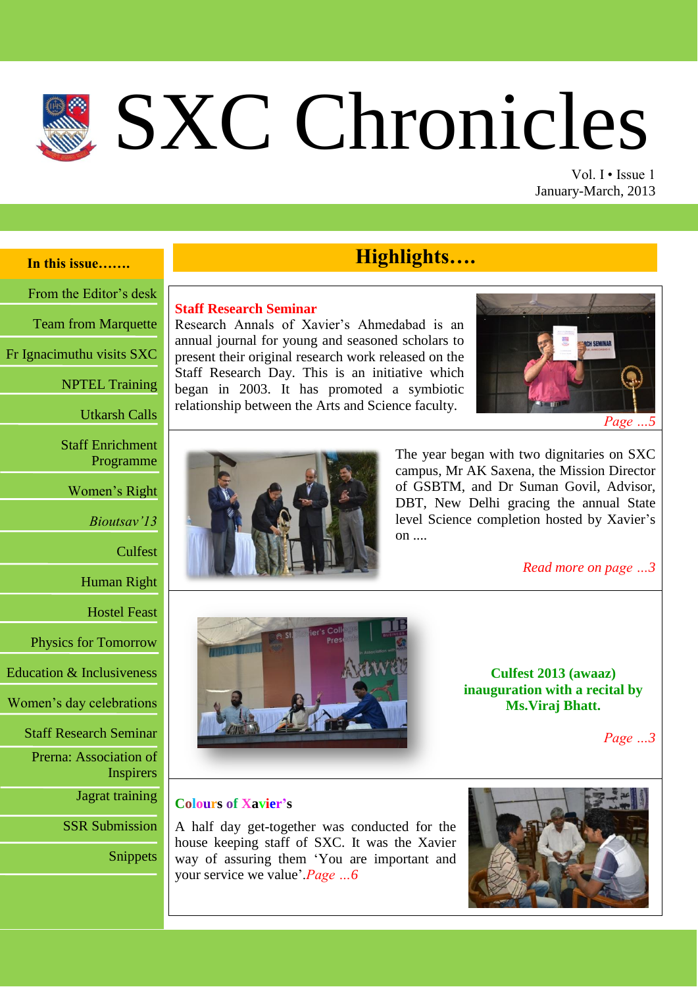# SXC Chronicles

Vol. I • Issue 1 January-March, 2013

# **In this issue…….**

From the Editor's desk

Team from Marquette

Fr Ignacimuthu visits SXC

NPTEL Training

Utkarsh Calls

Staff Enrichment Programme

Women's Right

*Bioutsav'13*

Culfest

Human Right

Hostel Feast

Physics for Tomorrow

Education & Inclusiveness

Women's day celebrations

Staff Research Seminar

Prerna: Association of

Inspirers

Jagrat training

SSR Submission

Snippets

# **Highlights….**

#### **Staff Research Seminar**

Research Annals of Xavier's Ahmedabad is an annual journal for young and seasoned scholars to present their original research work released on the Staff Research Day. This is an initiative which began in 2003. It has promoted a symbiotic relationship between the Arts and Science faculty.





The year began with two dignitaries on SXC campus, Mr AK Saxena, the Mission Director of GSBTM, and Dr Suman Govil, Advisor, DBT, New Delhi gracing the annual State level Science completion hosted by Xavier's on  $\ldots$ 

*Read more on page …3*



**Culfest 2013 (awaaz) inauguration with a recital by Ms.Viraj Bhatt.**

*Page …3*

# **Colours of Xavier's**

A half day get-together was conducted for the house keeping staff of SXC. It was the Xavier way of assuring them 'You are important and your service we value'.*Page …6*

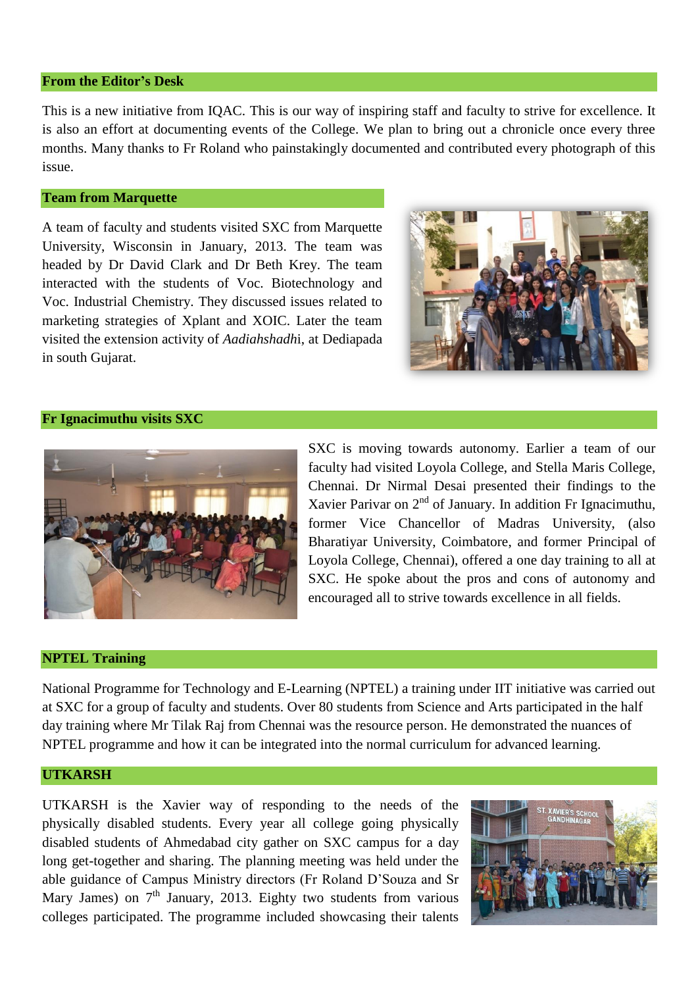#### **From the Editor's Desk**

This is a new initiative from IQAC. This is our way of inspiring staff and faculty to strive for excellence. It is also an effort at documenting events of the College. We plan to bring out a chronicle once every three months. Many thanks to Fr Roland who painstakingly documented and contributed every photograph of this issue.

#### **Team from Marquette**

A team of faculty and students visited SXC from Marquette University, Wisconsin in January, 2013. The team was headed by Dr David Clark and Dr Beth Krey. The team interacted with the students of Voc. Biotechnology and Voc. Industrial Chemistry. They discussed issues related to marketing strategies of Xplant and XOIC. Later the team visited the extension activity of *Aadiahshadh*i, at Dediapada in south Gujarat.



# **Fr Ignacimuthu visits SXC**



SXC is moving towards autonomy. Earlier a team of our faculty had visited Loyola College, and Stella Maris College, Chennai. Dr Nirmal Desai presented their findings to the Xavier Parivar on  $2<sup>nd</sup>$  of January. In addition Fr Ignacimuthu, former Vice Chancellor of Madras University, (also Bharatiyar University, Coimbatore, and former Principal of Loyola College, Chennai), offered a one day training to all at SXC. He spoke about the pros and cons of autonomy and encouraged all to strive towards excellence in all fields.

#### **NPTEL Training**

National Programme for Technology and E-Learning (NPTEL) a training under IIT initiative was carried out at SXC for a group of faculty and students. Over 80 students from Science and Arts participated in the half day training where Mr Tilak Raj from Chennai was the resource person. He demonstrated the nuances of NPTEL programme and how it can be integrated into the normal curriculum for advanced learning.

# **UTKARSH**

UTKARSH is the Xavier way of responding to the needs of the physically disabled students. Every year all college going physically disabled students of Ahmedabad city gather on SXC campus for a day long get-together and sharing. The planning meeting was held under the able guidance of Campus Ministry directors (Fr Roland D'Souza and Sr Mary James) on  $7<sup>th</sup>$  January, 2013. Eighty two students from various colleges participated. The programme included showcasing their talents

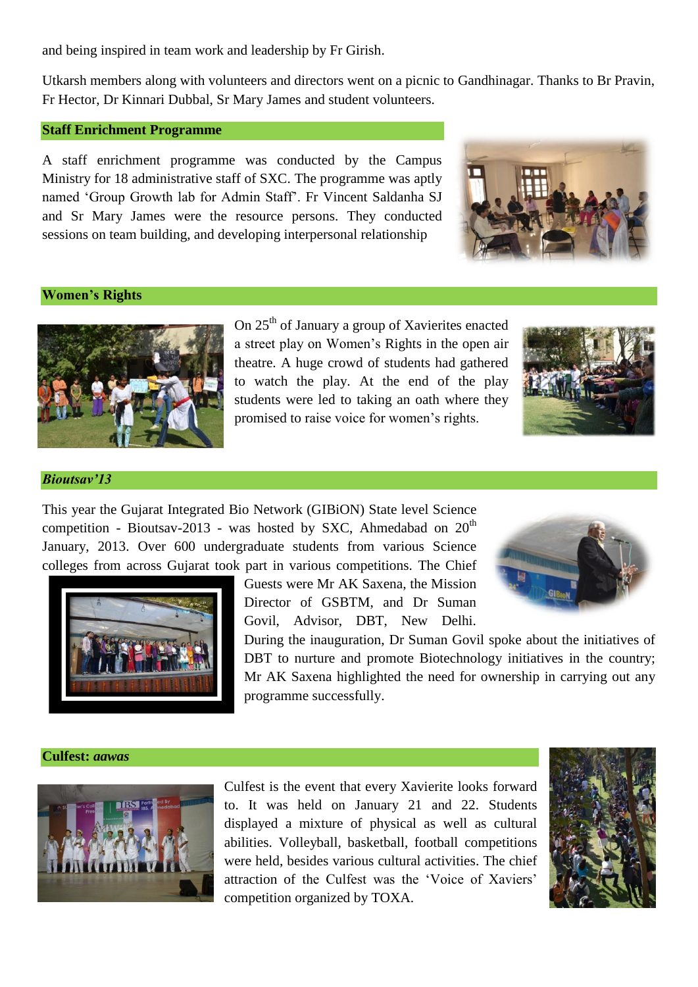and being inspired in team work and leadership by Fr Girish.

Utkarsh members along with volunteers and directors went on a picnic to Gandhinagar. Thanks to Br Pravin, Fr Hector, Dr Kinnari Dubbal, Sr Mary James and student volunteers.

# **Staff Enrichment Programme**

A staff enrichment programme was conducted by the Campus Ministry for 18 administrative staff of SXC. The programme was aptly named 'Group Growth lab for Admin Staff'. Fr Vincent Saldanha SJ and Sr Mary James were the resource persons. They conducted sessions on team building, and developing interpersonal relationship



# **Women's Rights**



On 25<sup>th</sup> of January a group of Xavierites enacted a street play on Women's Rights in the open air theatre. A huge crowd of students had gathered to watch the play. At the end of the play students were led to taking an oath where they promised to raise voice for women's rights.



#### *Bioutsav'13*

This year the Gujarat Integrated Bio Network (GIBiON) State level Science competition - Bioutsav-2013 - was hosted by SXC, Ahmedabad on  $20<sup>th</sup>$ January, 2013. Over 600 undergraduate students from various Science colleges from across Gujarat took part in various competitions. The Chief



Guests were Mr AK Saxena, the Mission Director of GSBTM, and Dr Suman Govil, Advisor, DBT, New Delhi.

During the inauguration, Dr Suman Govil spoke about the initiatives of



DBT to nurture and promote Biotechnology initiatives in the country; Mr AK Saxena highlighted the need for ownership in carrying out any programme successfully.

#### **Culfest:** *aawas*



Culfest is the event that every Xavierite looks forward to. It was held on January 21 and 22. Students displayed a mixture of physical as well as cultural abilities. Volleyball, basketball, football competitions were held, besides various cultural activities. The chief attraction of the Culfest was the 'Voice of Xaviers' competition organized by TOXA.

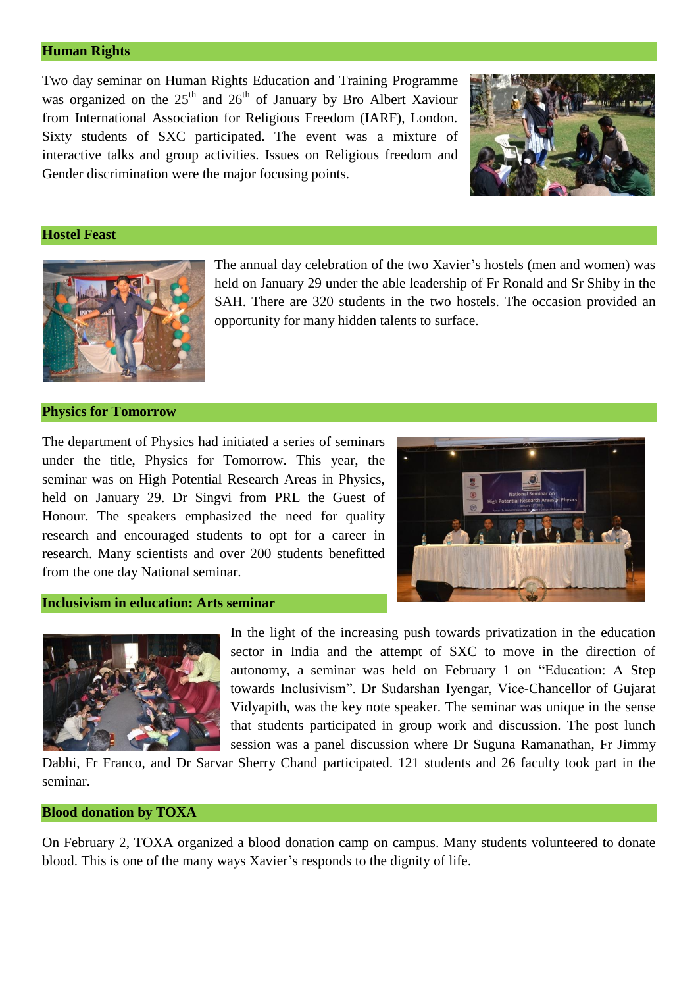#### **Human Rights**

Two day seminar on Human Rights Education and Training Programme was organized on the  $25<sup>th</sup>$  and  $26<sup>th</sup>$  of January by Bro Albert Xaviour from International Association for Religious Freedom (IARF), London. Sixty students of SXC participated. The event was a mixture of interactive talks and group activities. Issues on Religious freedom and Gender discrimination were the major focusing points.



#### **Hostel Feast**



The annual day celebration of the two Xavier's hostels (men and women) was held on January 29 under the able leadership of Fr Ronald and Sr Shiby in the SAH. There are 320 students in the two hostels. The occasion provided an opportunity for many hidden talents to surface.

#### **Physics for Tomorrow**

The department of Physics had initiated a series of seminars under the title, Physics for Tomorrow. This year, the seminar was on High Potential Research Areas in Physics, held on January 29. Dr Singvi from PRL the Guest of Honour. The speakers emphasized the need for quality research and encouraged students to opt for a career in research. Many scientists and over 200 students benefitted from the one day National seminar.



# **Inclusivism in education: Arts seminar**



In the light of the increasing push towards privatization in the education sector in India and the attempt of SXC to move in the direction of autonomy, a seminar was held on February 1 on "Education: A Step towards Inclusivism". Dr Sudarshan Iyengar, Vice-Chancellor of Gujarat Vidyapith, was the key note speaker. The seminar was unique in the sense that students participated in group work and discussion. The post lunch session was a panel discussion where Dr Suguna Ramanathan, Fr Jimmy

Dabhi, Fr Franco, and Dr Sarvar Sherry Chand participated. 121 students and 26 faculty took part in the seminar.

#### **Blood donation by TOXA**

On February 2, TOXA organized a blood donation camp on campus. Many students volunteered to donate blood. This is one of the many ways Xavier's responds to the dignity of life.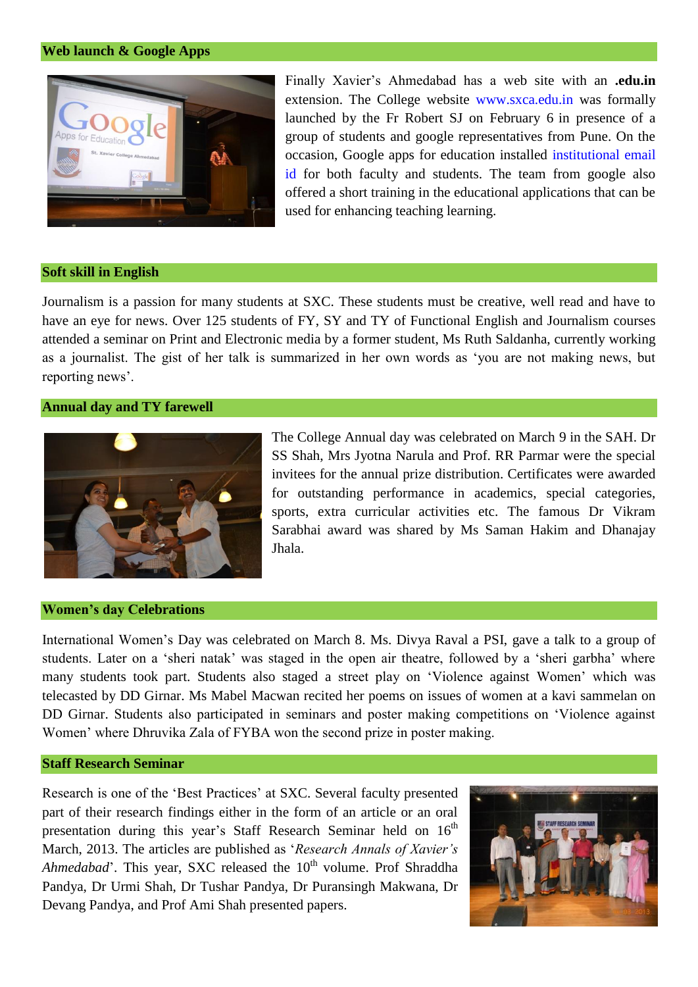# **Web launch & Google Apps**



Finally Xavier's Ahmedabad has a web site with an **.edu.in** extension. The College website www.sxca.edu.in was formally launched by the Fr Robert SJ on February 6 in presence of a group of students and google representatives from Pune. On the occasion, Google apps for education installed institutional email id for both faculty and students. The team from google also offered a short training in the educational applications that can be used for enhancing teaching learning.

#### **Soft skill in English**

Journalism is a passion for many students at SXC. These students must be creative, well read and have to have an eye for news. Over 125 students of FY, SY and TY of Functional English and Journalism courses attended a seminar on Print and Electronic media by a former student, Ms Ruth Saldanha, currently working as a journalist. The gist of her talk is summarized in her own words as 'you are not making news, but reporting news'.

# **Annual day and TY farewell**



The College Annual day was celebrated on March 9 in the SAH. Dr SS Shah, Mrs Jyotna Narula and Prof. RR Parmar were the special invitees for the annual prize distribution. Certificates were awarded for outstanding performance in academics, special categories, sports, extra curricular activities etc. The famous Dr Vikram Sarabhai award was shared by Ms Saman Hakim and Dhanajay Jhala.

#### **Women's day Celebrations**

International Women's Day was celebrated on March 8. Ms. Divya Raval a PSI, gave a talk to a group of students. Later on a 'sheri natak' was staged in the open air theatre, followed by a 'sheri garbha' where many students took part. Students also staged a street play on 'Violence against Women' which was telecasted by DD Girnar. Ms Mabel Macwan recited her poems on issues of women at a kavi sammelan on DD Girnar. Students also participated in seminars and poster making competitions on 'Violence against Women' where Dhruvika Zala of FYBA won the second prize in poster making.

# **Staff Research Seminar**

Research is one of the 'Best Practices' at SXC. Several faculty presented part of their research findings either in the form of an article or an oral presentation during this year's Staff Research Seminar held on  $16<sup>th</sup>$ March, 2013. The articles are published as '*Research Annals of Xavier's Ahmedabad*'. This year, SXC released the 10<sup>th</sup> volume. Prof Shraddha Pandya, Dr Urmi Shah, Dr Tushar Pandya, Dr Puransingh Makwana, Dr Devang Pandya, and Prof Ami Shah presented papers.